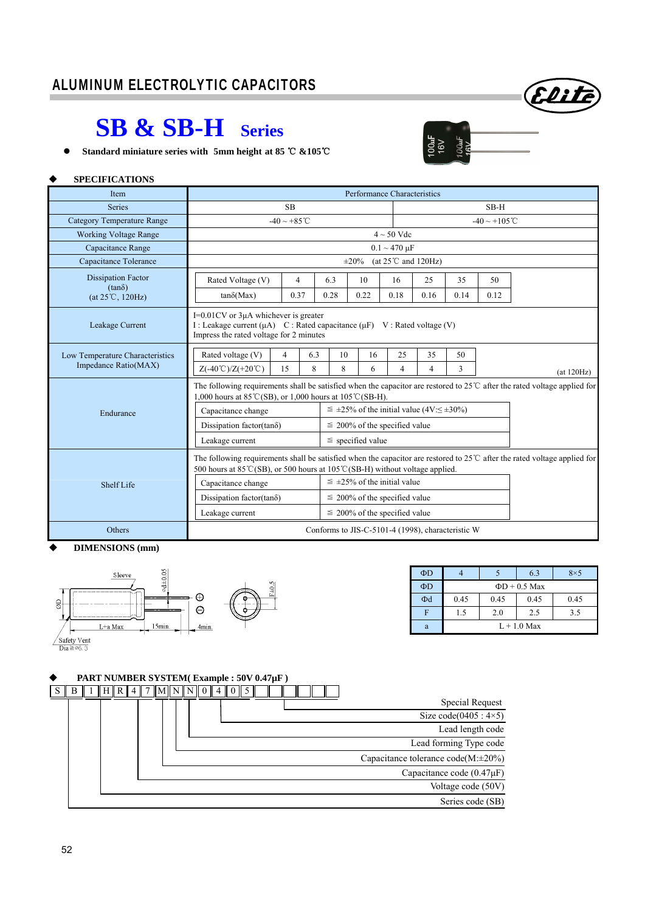# ALUMINUM ELECTROLYTIC CAPACITORS

# **SB & SB-H Series**

**•** Standard miniature series with 5mm height at 85 ℃ &105℃

#### **SPECIFICATIONS**

| Item                                       | Performance Characteristics                                                                                                                                                                    |                                                                                                                                                                                                                    |           |                                                             |                                     |                |      |      |                                                   |  |  |  |  |  |  |  |  |  |  |
|--------------------------------------------|------------------------------------------------------------------------------------------------------------------------------------------------------------------------------------------------|--------------------------------------------------------------------------------------------------------------------------------------------------------------------------------------------------------------------|-----------|-------------------------------------------------------------|-------------------------------------|----------------|------|------|---------------------------------------------------|--|--|--|--|--|--|--|--|--|--|
| <b>Series</b>                              |                                                                                                                                                                                                | $SB-H$                                                                                                                                                                                                             |           |                                                             |                                     |                |      |      |                                                   |  |  |  |  |  |  |  |  |  |  |
| <b>Category Temperature Range</b>          | $-40 \sim +85^{\circ}$ C                                                                                                                                                                       | $-40 \sim +105$ °C                                                                                                                                                                                                 |           |                                                             |                                     |                |      |      |                                                   |  |  |  |  |  |  |  |  |  |  |
| <b>Working Voltage Range</b>               |                                                                                                                                                                                                |                                                                                                                                                                                                                    |           |                                                             |                                     |                |      |      |                                                   |  |  |  |  |  |  |  |  |  |  |
| Capacitance Range                          | $0.1 \sim 470 \text{ }\mu\text{F}$                                                                                                                                                             |                                                                                                                                                                                                                    |           |                                                             |                                     |                |      |      |                                                   |  |  |  |  |  |  |  |  |  |  |
| Capacitance Tolerance                      | (at $25^{\circ}$ C and $120$ Hz)<br>$\pm 20\%$                                                                                                                                                 |                                                                                                                                                                                                                    |           |                                                             |                                     |                |      |      |                                                   |  |  |  |  |  |  |  |  |  |  |
| <b>Dissipation Factor</b><br>$(tan\delta)$ | Rated Voltage (V)                                                                                                                                                                              | $\overline{4}$                                                                                                                                                                                                     | 6.3       | 10                                                          | 16                                  | 25             | 35   | 50   |                                                   |  |  |  |  |  |  |  |  |  |  |
| $(at 25^{\circ}C, 120Hz)$                  | $tan\delta(Max)$                                                                                                                                                                               | 0.37                                                                                                                                                                                                               | 0.28      | 0.22                                                        | 0.18                                | 0.16           | 0.14 | 0.12 |                                                   |  |  |  |  |  |  |  |  |  |  |
| Leakage Current                            | $I=0.01CV$ or 3µA whichever is greater<br>I: Leakage current $(\mu A)$ C: Rated capacitance $(\mu F)$ V: Rated voltage (V)<br>Impress the rated voltage for 2 minutes                          |                                                                                                                                                                                                                    |           |                                                             |                                     |                |      |      |                                                   |  |  |  |  |  |  |  |  |  |  |
| Low Temperature Characteristics            | Rated voltage (V)                                                                                                                                                                              | $\overline{4}$                                                                                                                                                                                                     | 6.3<br>10 | 16                                                          | 25                                  | 35             | 50   |      |                                                   |  |  |  |  |  |  |  |  |  |  |
| Impedance Ratio(MAX)                       | $Z(-40^{\circ}\text{C})/Z(+20^{\circ}\text{C})$                                                                                                                                                | 15                                                                                                                                                                                                                 | 8<br>8    | 6                                                           | 4                                   | $\overline{4}$ | 3    |      | (at 120Hz)                                        |  |  |  |  |  |  |  |  |  |  |
|                                            | The following requirements shall be satisfied when the capacitor are restored to 25 $\degree$ C after the rated voltage applied for<br>1,000 hours at 85 ℃(SB), or 1,000 hours at 105 ℃(SB-H). |                                                                                                                                                                                                                    |           |                                                             |                                     |                |      |      |                                                   |  |  |  |  |  |  |  |  |  |  |
| Endurance                                  | Capacitance change                                                                                                                                                                             |                                                                                                                                                                                                                    |           | $\leq \pm 25\%$ of the initial value (4V: $\leq \pm 30\%$ ) |                                     |                |      |      |                                                   |  |  |  |  |  |  |  |  |  |  |
|                                            | Dissipation factor(tan $\delta$ )                                                                                                                                                              |                                                                                                                                                                                                                    |           | $\leq$ 200% of the specified value                          |                                     |                |      |      |                                                   |  |  |  |  |  |  |  |  |  |  |
|                                            | Leakage current                                                                                                                                                                                |                                                                                                                                                                                                                    |           | $\le$ specified value                                       |                                     |                |      |      |                                                   |  |  |  |  |  |  |  |  |  |  |
|                                            |                                                                                                                                                                                                | The following requirements shall be satisfied when the capacitor are restored to $25^{\circ}$ after the rated voltage applied for<br>500 hours at 85 °C(SB), or 500 hours at 105 °C(SB-H) without voltage applied. |           |                                                             |                                     |                |      |      |                                                   |  |  |  |  |  |  |  |  |  |  |
| <b>Shelf Life</b>                          | Capacitance change                                                                                                                                                                             |                                                                                                                                                                                                                    |           | $\leq \pm 25\%$ of the initial value                        |                                     |                |      |      |                                                   |  |  |  |  |  |  |  |  |  |  |
|                                            | Dissipation factor(tan $\delta$ )                                                                                                                                                              |                                                                                                                                                                                                                    |           | $\leq 200\%$ of the specified value                         |                                     |                |      |      |                                                   |  |  |  |  |  |  |  |  |  |  |
|                                            | Leakage current                                                                                                                                                                                |                                                                                                                                                                                                                    |           |                                                             | $\leq 200\%$ of the specified value |                |      |      |                                                   |  |  |  |  |  |  |  |  |  |  |
| Others                                     |                                                                                                                                                                                                |                                                                                                                                                                                                                    |           |                                                             |                                     |                |      |      | Conforms to JIS-C-5101-4 (1998), characteristic W |  |  |  |  |  |  |  |  |  |  |

#### **DIMENSIONS (mm)**



| $\Phi$ D |                    |      | 6.3  | $8\times5$ |  |  |  |  |  |  |  |  |
|----------|--------------------|------|------|------------|--|--|--|--|--|--|--|--|
| $\Phi$ D | $\Phi$ D + 0.5 Max |      |      |            |  |  |  |  |  |  |  |  |
| $\Phi$ d | 0.45               | 0.45 | 0.45 | 0.45       |  |  |  |  |  |  |  |  |
| F        | 1.5                | 2.0  | 2.5  | 3.5        |  |  |  |  |  |  |  |  |
| a        | $L + 1.0$ Max      |      |      |            |  |  |  |  |  |  |  |  |

Elite

 $\sqrt{6}$ 

### **PART NUMBER SYSTEM( Example : 50V 0.47µF )**

|  |  |  | IMININ |  |  |  |  |  |  |  |  |                                          |
|--|--|--|--------|--|--|--|--|--|--|--|--|------------------------------------------|
|  |  |  |        |  |  |  |  |  |  |  |  | Special Request                          |
|  |  |  |        |  |  |  |  |  |  |  |  | Size code( $0405 : 4 \times 5$ )         |
|  |  |  |        |  |  |  |  |  |  |  |  | Lead length code                         |
|  |  |  |        |  |  |  |  |  |  |  |  | Lead forming Type code                   |
|  |  |  |        |  |  |  |  |  |  |  |  | Capacitance tolerance $code(M:\pm 20\%)$ |
|  |  |  |        |  |  |  |  |  |  |  |  | Capacitance code $(0.47 \mu F)$          |
|  |  |  |        |  |  |  |  |  |  |  |  | Voltage code (50V)                       |
|  |  |  |        |  |  |  |  |  |  |  |  | Series code (SB)                         |